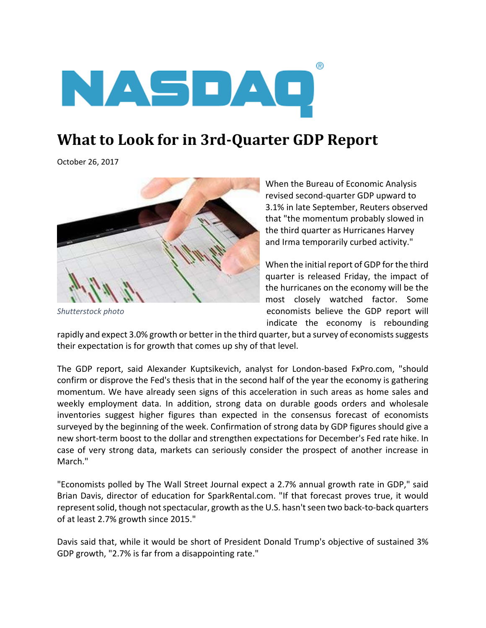

## **What to Look for in 3rd‐Quarter GDP Report**

October 26, 2017



*Shutterstock photo*

When the Bureau of Economic Analysis revised second‐quarter GDP upward to 3.1% in late September, Reuters observed that "the momentum probably slowed in the third quarter as Hurricanes Harvey and Irma temporarily curbed activity."

When the initial report of GDP for the third quarter is released Friday, the impact of the hurricanes on the economy will be the most closely watched factor. Some economists believe the GDP report will indicate the economy is rebounding

rapidly and expect 3.0% growth or better in the third quarter, but a survey of economists suggests their expectation is for growth that comes up shy of that level.

The GDP report, said Alexander Kuptsikevich, analyst for London‐based FxPro.com, "should confirm or disprove the Fed's thesis that in the second half of the year the economy is gathering momentum. We have already seen signs of this acceleration in such areas as home sales and weekly employment data. In addition, strong data on durable goods orders and wholesale inventories suggest higher figures than expected in the consensus forecast of economists surveyed by the beginning of the week. Confirmation of strong data by GDP figures should give a new short-term boost to the dollar and strengthen expectations for December's Fed rate hike. In case of very strong data, markets can seriously consider the prospect of another increase in March."

"Economists polled by The Wall Street Journal expect a 2.7% annual growth rate in GDP," said Brian Davis, director of education for SparkRental.com. "If that forecast proves true, it would represent solid, though not spectacular, growth as the U.S. hasn't seen two back-to-back quarters of at least 2.7% growth since 2015."

Davis said that, while it would be short of President Donald Trump's objective of sustained 3% GDP growth, "2.7% is far from a disappointing rate."